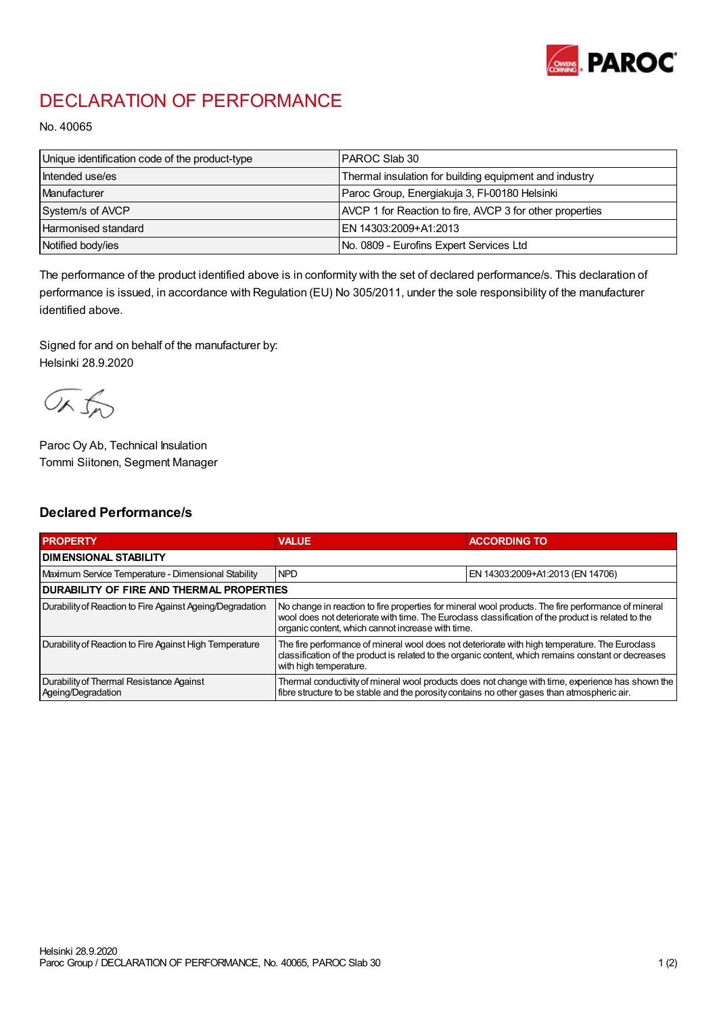

## DECLARATION OF PERFORMANCE

No. 40065

| Unique identification code of the product-type | I PAROC Slab 30                                          |
|------------------------------------------------|----------------------------------------------------------|
| Intended use/es                                | Thermal insulation for building equipment and industry   |
| Manufacturer                                   | Paroc Group, Energiakuja 3, FI-00180 Helsinki            |
| System/s of AVCP                               | AVCP 1 for Reaction to fire, AVCP 3 for other properties |
| <b>Harmonised standard</b>                     | EN 14303:2009+A1:2013                                    |
| Notified body/ies                              | No. 0809 - Eurofins Expert Services Ltd                  |

The performance of the product identified above is in conformity with the set of declared performance/s. This declaration of performance is issued, in accordance with Regulation (EU) No 305/2011, under the sole responsibility of the manufacturer identified above.

Signed for and on behalf of the manufacturer by: Helsinki 28.9.2020

ORJO

Paroc Oy Ab, Technical Insulation Tommi Siitonen, Segment Manager

## Declared Performance/s

| <b>PROPERTY</b>                                                | <b>VALUE</b>                                                                                                                                                                                                                                                   | <b>ACCORDING TO</b>              |  |
|----------------------------------------------------------------|----------------------------------------------------------------------------------------------------------------------------------------------------------------------------------------------------------------------------------------------------------------|----------------------------------|--|
| <b>I DIMENSIONAL STABILITY</b>                                 |                                                                                                                                                                                                                                                                |                                  |  |
| Maximum Service Temperature - Dimensional Stability            | <b>NPD</b>                                                                                                                                                                                                                                                     | EN 14303:2009+A1:2013 (EN 14706) |  |
| <b>DURABILITY OF FIRE AND THERMAL PROPERTIES</b>               |                                                                                                                                                                                                                                                                |                                  |  |
| Durability of Reaction to Fire Against Ageing/Degradation      | No change in reaction to fire properties for mineral wool products. The fire performance of mineral<br>wool does not deteriorate with time. The Euroclass classification of the product is related to the<br>organic content, which cannot increase with time. |                                  |  |
| Durability of Reaction to Fire Against High Temperature        | The fire performance of mineral wool does not deteriorate with high temperature. The Euroclass<br>classification of the product is related to the organic content, which remains constant or decreases<br>with high temperature.                               |                                  |  |
| Durability of Thermal Resistance Against<br>Ageing/Degradation | Thermal conductivity of mineral wool products does not change with time, experience has shown the<br>fibre structure to be stable and the porosity contains no other gases than atmospheric air.                                                               |                                  |  |